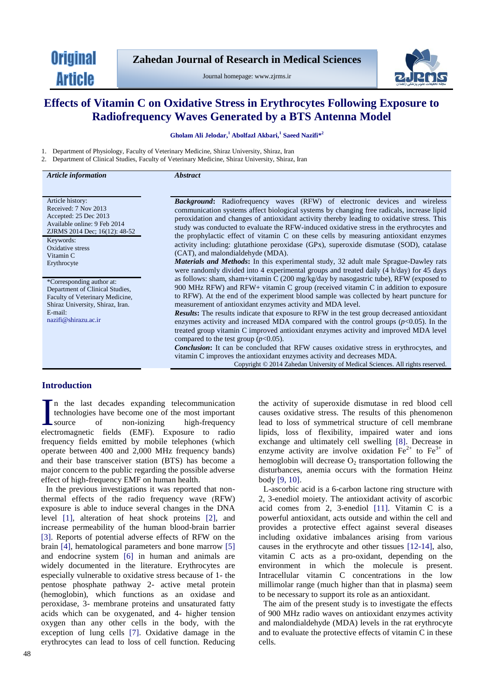**Original Article** 

Journal homepage: www.zjrms.ir



# **Effects of Vitamin C on Oxidative Stress in Erythrocytes Following Exposure to Radiofrequency Waves Generated by a BTS Antenna Model**

**Gholam [Ali Jelodar,](http://www.zjrms.ir/search.php?slc_lang=en&sid=1&auth=-) <sup>1</sup> Abolfazl Akbari,<sup>1</sup> Saeed Nazifi\* 2**

1. Department of Physiology, Faculty of Veterinary Medicine, Shiraz University, Shiraz, Iran 2. Department of Clinical Studies, Faculty of Veterinary Medicine, Shiraz University, Shiraz, Iran

| <b>Article</b> information                                                                                                                                             | <i><b>Abstract</b></i>                                                                                                                                                                                                                                                                                                                                                                                                                                          |
|------------------------------------------------------------------------------------------------------------------------------------------------------------------------|-----------------------------------------------------------------------------------------------------------------------------------------------------------------------------------------------------------------------------------------------------------------------------------------------------------------------------------------------------------------------------------------------------------------------------------------------------------------|
|                                                                                                                                                                        |                                                                                                                                                                                                                                                                                                                                                                                                                                                                 |
| Article history:<br>Received: 7 Nov 2013<br>Accepted: 25 Dec 2013<br>Available online: 9 Feb 2014<br>ZJRMS 2014 Dec; 16(12): 48-52                                     | <b>Background:</b> Radiofrequency waves (RFW) of electronic devices and wireless<br>communication systems affect biological systems by changing free radicals, increase lipid<br>peroxidation and changes of antioxidant activity thereby leading to oxidative stress. This<br>study was conducted to evaluate the RFW-induced oxidative stress in the erythrocytes and<br>the prophylactic effect of vitamin C on these cells by measuring antioxidant enzymes |
| Keywords:<br>Oxidative stress<br>Vitamin C                                                                                                                             | activity including: glutathione peroxidase (GPx), superoxide dismutase (SOD), catalase<br>(CAT), and malondialdehyde (MDA).                                                                                                                                                                                                                                                                                                                                     |
| Erythrocyte                                                                                                                                                            | <b>Materials and Methods:</b> In this experimental study, 32 adult male Sprague-Dawley rats<br>were randomly divided into 4 experimental groups and treated daily (4 h/day) for 45 days                                                                                                                                                                                                                                                                         |
| *Corresponding author at:<br>Department of Clinical Studies,<br>Faculty of Veterinary Medicine,<br>Shiraz University, Shiraz, Iran.<br>E-mail:<br>nazifi@shirazu.ac.ir | as follows: sham, sham+vitamin $C(200 \text{ mg/kg/day})$ by nasogastric tube), RFW (exposed to<br>900 MHz RFW) and RFW+ vitamin C group (received vitamin C in addition to exposure<br>to RFW). At the end of the experiment blood sample was collected by heart puncture for<br>measurement of antioxidant enzymes activity and MDA level.                                                                                                                    |
|                                                                                                                                                                        | <b>Results:</b> The results indicate that exposure to RFW in the test group decreased antioxidant<br>enzymes activity and increased MDA compared with the control groups $(p<0.05)$ . In the<br>treated group vitamin C improved antioxidant enzymes activity and improved MDA level<br>compared to the test group $(p<0.05)$ .                                                                                                                                 |
|                                                                                                                                                                        | <b>Conclusion:</b> It can be concluded that RFW causes oxidative stress in erythrocytes, and<br>vitamin C improves the antioxidant enzymes activity and decreases MDA.<br>Copyright © 2014 Zahedan University of Medical Sciences. All rights reserved.                                                                                                                                                                                                         |

# **Introduction**

n the last decades expanding telecommunication technologies have become one of the most important source of non-ionizing high-frequency In the last decades expanding telecommunication<br>technologies have become one of the most important<br>source of non-ionizing high-frequency<br>electromagnetic fields (EMF). Exposure to radio frequency fields emitted by mobile telephones (which operate between 400 and 2,000 MHz frequency bands) and their base transceiver station (BTS) has become a major concern to the public regarding the possible adverse effect of high-frequency EMF on human health.

In the previous investigations it was reported that nonthermal effects of the radio frequency wave (RFW) exposure is able to induce several changes in the DNA level [1], alteration of heat shock proteins [2], and increase permeability of the human blood-brain barrier [3]. Reports of potential adverse effects of RFW on the brain [4], hematological parameters and bone marrow [5] and endocrine system [6] in human and animals are widely documented in the literature. Erythrocytes are especially vulnerable to oxidative stress because of 1- the pentose phosphate pathway 2- active metal protein (hemoglobin), which functions as an oxidase and peroxidase, 3- membrane proteins and unsaturated fatty acids which can be oxygenated, and 4- higher tension oxygen than any other cells in the body, with the exception of lung cells [7]. Oxidative damage in the erythrocytes can lead to loss of cell function. Reducing the activity of superoxide dismutase in red blood cell causes oxidative stress. The results of this phenomenon lead to loss of symmetrical structure of cell membrane lipids, loss of flexibility, impaired water and ions exchange and ultimately cell swelling [8]. Decrease in enzyme activity are involve oxidation  $Fe^{2+}$  to  $Fe^{3+}$  of hemoglobin will decrease  $O_2$  transportation following the disturbances, anemia occurs with the formation Heinz body [9, 10].

L-ascorbic acid is a 6-carbon lactone ring structure with 2, 3-enediol moiety. The antioxidant activity of ascorbic acid comes from 2, 3-enediol [11]. Vitamin C is a powerful antioxidant, acts outside and within the cell and provides a protective effect against several diseases including oxidative imbalances arising from various causes in the erythrocyte and other tissues [12-14], also, vitamin C acts as a pro-oxidant, depending on the environment in which the molecule is present. Intracellular vitamin C concentrations in the low millimolar range (much higher than that in plasma) seem to be necessary to support its role as an antioxidant.

The aim of the present study is to investigate the effects of 900 MHz radio waves on antioxidant enzymes activity and malondialdehyde (MDA) levels in the rat erythrocyte and to evaluate the protective effects of vitamin C in these cells.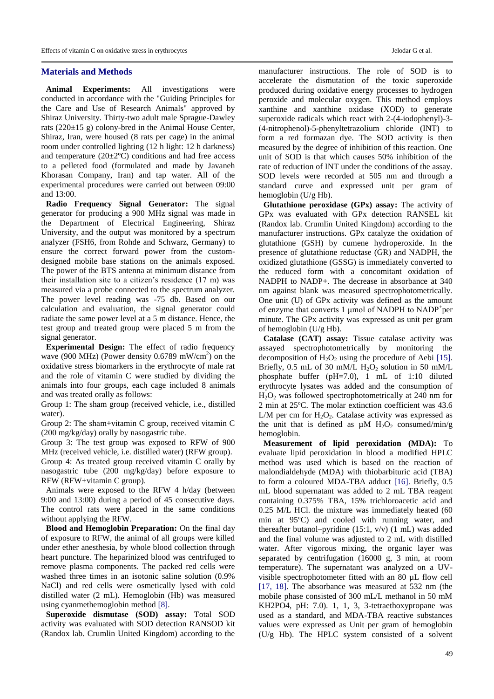# **Materials and Methods**

**Animal Experiments:** All investigations were conducted in accordance with the "Guiding Principles for the Care and Use of Research Animals" approved by Shiraz University. Thirty-two adult male Sprague-Dawley rats (220±15 g) colony-bred in the Animal House Center, Shiraz, Iran, were housed (8 rats per cage) in the animal room under controlled lighting (12 h light: 12 h darkness) and temperature  $(20\pm2\degree C)$  conditions and had free access to a pelleted food (formulated and made by Javaneh Khorasan Company, Iran) and tap water. All of the experimental procedures were carried out between 09:00 and 13:00.

**Radio Frequency Signal Generator:** The signal generator for producing a 900 MHz signal was made in the Department of Electrical Engineering, Shiraz University, and the output was monitored by a spectrum analyzer (FSH6, from Rohde and Schwarz, Germany) to ensure the correct forward power from the customdesigned mobile base stations on the animals exposed. The power of the BTS antenna at minimum distance from their installation site to a citizen's residence (17 m) was measured via a probe connected to the spectrum analyzer. The power level reading was -75 db. Based on our calculation and evaluation, the signal generator could radiate the same power level at a 5 m distance. Hence, the test group and treated group were placed 5 m from the signal generator.

**Experimental Design:** The effect of radio frequency wave (900 MHz) (Power density  $0.6789$  mW/cm<sup>2</sup>) on the oxidative stress biomarkers in the erythrocyte of male rat and the role of vitamin C were studied by dividing the animals into four groups, each cage included 8 animals and was treated orally as follows:

Group 1: The sham group (received vehicle, i.e., distilled water).

Group 2: The sham+vitamin C group, received vitamin C (200 mg/kg/day) orally by nasogastric tube.

Group 3: The test group was exposed to RFW of 900 MHz (received vehicle, i.e. distilled water) (RFW group). Group 4: As treated group received vitamin C orally by nasogastric tube (200 mg/kg/day) before exposure to RFW (RFW+vitamin C group).

Animals were exposed to the RFW 4 h/day (between 9:00 and 13:00) during a period of 45 consecutive days. The control rats were placed in the same conditions without applying the RFW.

**Blood and Hemoglobin Preparation:** On the final day of exposure to RFW, the animal of all groups were killed under ether anesthesia, by whole blood collection through heart puncture. The heparinized blood was centrifuged to remove plasma components. The packed red cells were washed three times in an isotonic saline solution (0.9% NaCl) and red cells were osmetically lysed with cold distilled water (2 mL). Hemoglobin (Hb) was measured using cyanmethemoglobin method [8].

**Superoxide dismutase (SOD) assay:** Total SOD activity was evaluated with SOD detection RANSOD kit (Randox lab. Crumlin United Kingdom) according to the

manufacturer instructions. The role of SOD is to accelerate the dismutation of the toxic superoxide produced during oxidative energy processes to hydrogen peroxide and molecular oxygen. This method employs xanthine and xanthine oxidase (XOD) to generate superoxide radicals which react with 2-(4-iodophenyl)-3- (4-nitrophenol)-5-phenyltetrazolium chloride (INT) to form a red formazan dye. The SOD activity is then measured by the degree of inhibition of this reaction. One unit of SOD is that which causes 50% inhibition of the rate of reduction of INT under the conditions of the assay. SOD levels were recorded at 505 nm and through a standard curve and expressed unit per gram of hemoglobin (U/g Hb).

**Glutathione peroxidase (GPx) assay:** The activity of GPx was evaluated with GPx detection RANSEL kit (Randox lab. Crumlin United Kingdom) according to the manufacturer instructions. GPx catalyze the oxidation of glutathione (GSH) by cumene hydroperoxide. In the presence of glutathione reductase (GR) and NADPH, the oxidized glutathione (GSSG) is immediately converted to the reduced form with a concomitant oxidation of NADPH to NADP+. The decrease in absorbance at 340 nm against blank was measured spectrophotometrically. One unit (U) of GPx activity was defined as the amount of enzyme that converts 1 μmol of NADPH to NADP<sup>+</sup>per minute. The GPx activity was expressed as unit per gram of hemoglobin (U/g Hb).

**Catalase (CAT) assay:** Tissue catalase activity was assayed spectrophotometrically by monitoring the decomposition of  $H_2O_2$  using the procedure of Aebi [15]. Briefly, 0.5 mL of 30 mM/L  $H_2O_2$  solution in 50 mM/L phosphate buffer (pH=7.0), 1 mL of 1:10 diluted erythrocyte lysates was added and the consumption of  $H_2O_2$  was followed spectrophotometrically at 240 nm for 2 min at 25ºC. The molar extinction coefficient was 43.6 L/M per cm for  $H_2O_2$ . Catalase activity was expressed as the unit that is defined as  $\mu$ M H<sub>2</sub>O<sub>2</sub> consumed/min/g hemoglobin.

**Measurement of lipid peroxidation (MDA):** To evaluate lipid peroxidation in blood a modified HPLC method was used which is based on the reaction of malondialdehyde (MDA) with thiobarbituric acid (TBA) to form a coloured MDA-TBA adduct [16]. Briefly, 0.5 mL blood supernatant was added to 2 mL TBA reagent containing 0.375% TBA, 15% trichloroacetic acid and 0.25 M/L HCl. the mixture was immediately heated (60 min at 95ºC) and cooled with running water, and thereafter butanol–pyridine (15:1, v/v) (1 mL) was added and the final volume was adjusted to 2 mL with distilled water. After vigorous mixing, the organic layer was separated by centrifugation (16000 g, 3 min, at room temperature). The supernatant was analyzed on a UVvisible spectrophotometer fitted with an 80 µL flow cell [17, 18]. The absorbance was measured at 532 nm (the mobile phase consisted of 300 mL/L methanol in 50 mM KH2PO4, pH: 7.0). 1, 1, 3, 3-tetraethoxypropane was used as a standard, and MDA-TBA reactive substances values were expressed as Unit per gram of hemoglobin (U/g Hb). The HPLC system consisted of a solvent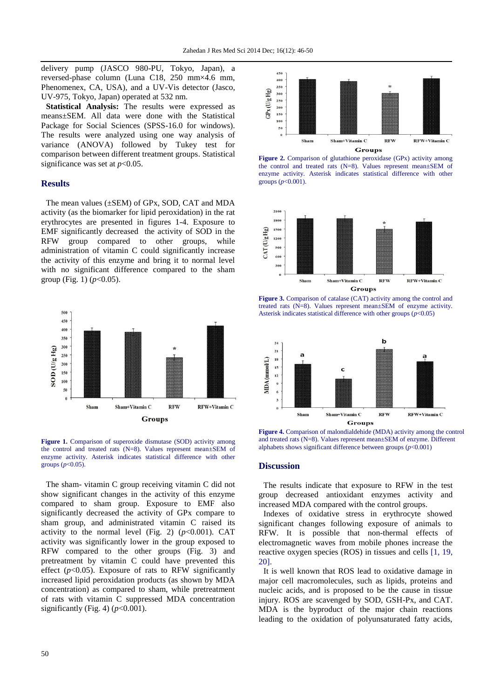delivery pump (JASCO 980-PU, Tokyo, Japan), a reversed-phase column (Luna C18, 250 mm×4.6 mm, Phenomenex, CA, USA), and a UV-Vis detector (Jasco, UV-975, Tokyo, Japan) operated at 532 nm.

**Statistical Analysis:** The results were expressed as means±SEM. All data were done with the Statistical Package for Social Sciences (SPSS-16.0 for windows). The results were analyzed using one way analysis of variance (ANOVA) followed by Tukey test for comparison between different treatment groups. Statistical significance was set at  $p<0.05$ .

## **Results**

The mean values (±SEM) of GPx, SOD, CAT and MDA activity (as the biomarker for lipid peroxidation) in the rat erythrocytes are presented in figures 1-4. Exposure to EMF significantly decreased the activity of SOD in the RFW group compared to other groups, while administration of vitamin C could significantly increase the activity of this enzyme and bring it to normal level with no significant difference compared to the sham group (Fig. 1)  $(p<0.05)$ .



**Figure 1.** Comparison of superoxide dismutase (SOD) activity among the control and treated rats (N=8). Values represent mean±SEM of enzyme activity. Asterisk indicates statistical difference with other groups ( $p < 0.05$ ).

The sham- vitamin C group receiving vitamin C did not show significant changes in the activity of this enzyme compared to sham group. Exposure to EMF also significantly decreased the activity of GPx compare to sham group, and administrated vitamin C raised its activity to the normal level (Fig. 2)  $(p<0.001)$ . CAT activity was significantly lower in the group exposed to RFW compared to the other groups (Fig. 3) and pretreatment by vitamin C could have prevented this effect  $(p<0.05)$ . Exposure of rats to RFW significantly increased lipid peroxidation products (as shown by MDA concentration) as compared to sham, while pretreatment of rats with vitamin C suppressed MDA concentration significantly (Fig. 4) (*p*<0.001).







**Figure 3.** Comparison of catalase (CAT) activity among the control and treated rats (N=8). Values represent mean±SEM of enzyme activity. Asterisk indicates statistical difference with other groups (*p*<0.05)



**Figure 4.** Comparison of malondialdehide (MDA) activity among the control and treated rats (N=8). Values represent mean±SEM of enzyme. Different alphabets shows significant difference between groups (*p*<0.001)

#### **Discussion**

The results indicate that exposure to RFW in the test group decreased antioxidant enzymes activity and increased MDA compared with the control groups.

Indexes of oxidative stress in erythrocyte showed significant changes following exposure of animals to RFW. It is possible that non-thermal effects of electromagnetic waves from mobile phones increase the reactive oxygen species (ROS) in tissues and cells [1, 19, 20].

It is well known that ROS lead to oxidative damage in major cell macromolecules, such as lipids, proteins and nucleic acids, and is proposed to be the cause in tissue injury. ROS are scavenged by SOD, GSH-Px, and CAT. MDA is the byproduct of the major chain reactions leading to the oxidation of polyunsaturated fatty acids,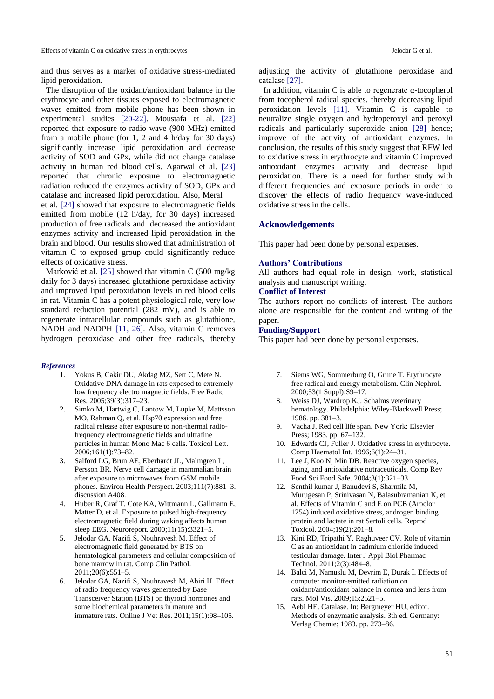and thus serves as a marker of oxidative stress-mediated lipid peroxidation.

The disruption of the oxidant/antioxidant balance in the erythrocyte and other tissues exposed to electromagnetic waves emitted from mobile phone has been shown in experimental studies [20-22]. Moustafa et al. [22] reported that exposure to radio wave (900 MHz) emitted from a mobile phone (for 1, 2 and 4 h/day for 30 days) significantly increase lipid peroxidation and decrease activity of SOD and GPx, while did not change catalase activity in human red blood cells. Agarwal et al. [23] reported that chronic exposure to electromagnetic radiation reduced the enzymes activity of SOD, GPx and catalase and increased lipid peroxidation. Also, Meral

et al. [24] showed that exposure to electromagnetic fields emitted from mobile (12 h/day, for 30 days) increased production of free radicals and decreased the antioxidant enzymes activity and increased lipid peroxidation in the brain and blood. Our results showed that administration of vitamin C to exposed group could significantly reduce effects of oxidative stress.

Marković et al. [25] showed that vitamin C (500 mg/kg daily for 3 days) increased glutathione peroxidase activity and improved lipid peroxidation levels in red blood cells in rat. Vitamin C has a potent physiological role, very low standard reduction potential (282 mV), and is able to regenerate intracellular compounds such as glutathione, NADH and NADPH [11, 26]. Also, vitamin C removes hydrogen peroxidase and other free radicals, thereby

#### *References*

- 1. Yokus B, Cakir DU, Akdag MZ, Sert C, Mete N. Oxidative DNA damage in rats exposed to extremely low frequency electro magnetic fields. Free Radic Res. 2005;39(3):317–23.
- 2. Simko M, Hartwig C, Lantow M, Lupke M, Mattsson MO, Rahman Q, et al. Hsp70 expression and free radical release after exposure to non-thermal radiofrequency electromagnetic fields and ultrafine particles in human Mono Mac 6 cells. Toxicol Lett. 2006;161(1):73–82.
- 3. Salford LG, Brun AE, Eberhardt JL, Malmgren L, Persson BR. Nerve cell damage in mammalian brain after exposure to microwaves from GSM mobile phones. Environ Health Perspect. 2003;111(7):881–3. discussion A408.
- 4. Huber R, Graf T, Cote KA, Wittmann L, Gallmann E, Matter D, et al. Exposure to pulsed high-frequency electromagnetic field during waking affects human sleep EEG. Neuroreport. 2000;11(15):3321–5.
- 5. Jelodar GA, Nazifi S, Nouhravesh M. Effect of electromagnetic field generated by BTS on hematological parameters and cellular composition of bone marrow in rat. Comp Clin Pathol. 2011;20(6):551–5.
- 6. Jelodar GA, Nazifi S, Nouhravesh M, Abiri H. Effect of radio frequency waves generated by Base Transceiver Station (BTS) on thyroid hormones and some biochemical parameters in mature and immature rats. Online J Vet Res. 2011;15(1):98–105.

adjusting the activity of glutathione peroxidase and catalase [27].

In addition, vitamin C is able to regenerate α-tocopherol from tocopherol radical species, thereby decreasing lipid peroxidation levels [11]. Vitamin C is capable to neutralize single oxygen and hydroperoxyl and peroxyl radicals and particularly superoxide anion [28] hence; improve of the activity of antioxidant enzymes. In conclusion, the results of this study suggest that RFW led to oxidative stress in erythrocyte and vitamin C improved antioxidant enzymes activity and decrease lipid peroxidation. There is a need for further study with different frequencies and exposure periods in order to discover the effects of radio frequency wave-induced oxidative stress in the cells.

# **Acknowledgements**

This paper had been done by personal expenses.

### **Authors' Contributions**

All authors had equal role in design, work, statistical analysis and manuscript writing.

## **Conflict of Interest**

The authors report no conflicts of interest. The authors alone are responsible for the content and writing of the paper.

# **Funding/Support**

This paper had been done by personal expenses.

- 7. Siems WG, Sommerburg O, Grune T. Erythrocyte free radical and energy metabolism. Clin Nephrol. 2000;53(1 Suppl):S9–17.
- 8. Weiss DJ, Wardrop KJ. Schalms veterinary hematology. Philadelphia: Wiley-Blackwell Press; 1986. pp. 381–3.
- 9. Vacha J. Red cell life span. New York: Elsevier Press; 1983. pp. 67–132.
- 10. Edwards CJ, Fuller J. Oxidative stress in erythrocyte. Comp Haematol Int. 1996;6(1):24–31.
- 11. Lee J, Koo N, Min DB. Reactive oxygen species, aging, and antioxidative nutraceuticals. Comp Rev Food Sci Food Safe. 2004;3(1):321–33.
- 12. Senthil kumar J, Banudevi S, Sharmila M, Murugesan P, Srinivasan N, Balasubramanian K, et al. Effects of Vitamin C and E on PCB (Aroclor 1254) induced oxidative stress, androgen binding protein and lactate in rat Sertoli cells. Reprod Toxicol. 2004;19(2):201–8.
- 13. Kini RD, Tripathi Y, Raghuveer CV. Role of vitamin C as an antioxidant in cadmium chloride induced testicular damage. Inter J Appl Biol Pharmac Technol. 2011;2(3):484–8.
- 14. Balci M, Namuslu M, Devrim E, Durak I. Effects of computer monitor-emitted radiation on oxidant/antioxidant balance in cornea and lens from rats. Mol Vis. 2009;15:2521–5.
- 15. Aebi HE. Catalase. In: Bergmeyer HU, editor. Methods of enzymatic analysis. 3th ed. Germany: Verlag Chemie; 1983. pp. 273–86.